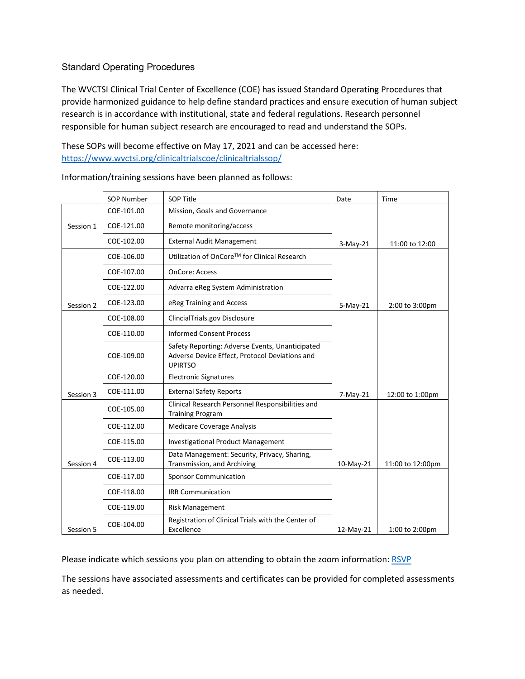## Standard Operating Procedures

The WVCTSI Clinical Trial Center of Excellence (COE) has issued Standard Operating Procedures that provide harmonized guidance to help define standard practices and ensure execution of human subject research is in accordance with institutional, state and federal regulations. Research personnel responsible for human subject research are encouraged to read and understand the SOPs.

These SOPs will become effective on May 17, 2021 and can be accessed here: <https://www.wvctsi.org/clinicaltrialscoe/clinicaltrialssop/>

|           | <b>SOP Number</b> | <b>SOP Title</b>                                                                                                    | Date       | Time             |
|-----------|-------------------|---------------------------------------------------------------------------------------------------------------------|------------|------------------|
|           | COE-101.00        | Mission, Goals and Governance                                                                                       |            |                  |
| Session 1 | COE-121.00        | Remote monitoring/access                                                                                            |            |                  |
|           | COE-102.00        | <b>External Audit Management</b>                                                                                    | $3-May-21$ | 11:00 to 12:00   |
|           | COE-106.00        | Utilization of OnCore™ for Clinical Research                                                                        |            |                  |
|           | COE-107.00        | <b>OnCore: Access</b>                                                                                               |            |                  |
|           | COE-122.00        | Advarra eReg System Administration                                                                                  |            |                  |
| Session 2 | COE-123.00        | eReg Training and Access                                                                                            | $5-May-21$ | 2:00 to 3:00pm   |
|           | COE-108.00        | ClincialTrials.gov Disclosure                                                                                       |            |                  |
|           | COE-110.00        | <b>Informed Consent Process</b>                                                                                     |            |                  |
|           | COE-109.00        | Safety Reporting: Adverse Events, Unanticipated<br>Adverse Device Effect, Protocol Deviations and<br><b>UPIRTSO</b> |            |                  |
|           | COE-120.00        | <b>Electronic Signatures</b>                                                                                        |            |                  |
| Session 3 | COE-111.00        | <b>External Safety Reports</b>                                                                                      | $7-May-21$ | 12:00 to 1:00pm  |
|           | COE-105.00        | Clinical Research Personnel Responsibilities and<br><b>Training Program</b>                                         |            |                  |
|           | COE-112.00        | Medicare Coverage Analysis                                                                                          |            |                  |
|           | COE-115.00        | <b>Investigational Product Management</b>                                                                           |            |                  |
| Session 4 | COE-113.00        | Data Management: Security, Privacy, Sharing,<br>Transmission, and Archiving                                         | 10-May-21  | 11:00 to 12:00pm |
|           | COE-117.00        | <b>Sponsor Communication</b>                                                                                        |            |                  |
|           | COE-118.00        | <b>IRB Communication</b>                                                                                            |            |                  |
|           | COE-119.00        | <b>Risk Management</b>                                                                                              |            |                  |
| Session 5 | COE-104.00        | Registration of Clinical Trials with the Center of<br>Excellence                                                    | 12-May-21  | 1:00 to 2:00pm   |

Information/training sessions have been planned as follows:

Please indicate which sessions you plan on attending to obtain the zoom information: [RSVP](https://redcap.wvctsi.org/redcap/surveys/?s=ERCMYMPWH9)

The sessions have associated assessments and certificates can be provided for completed assessments as needed.